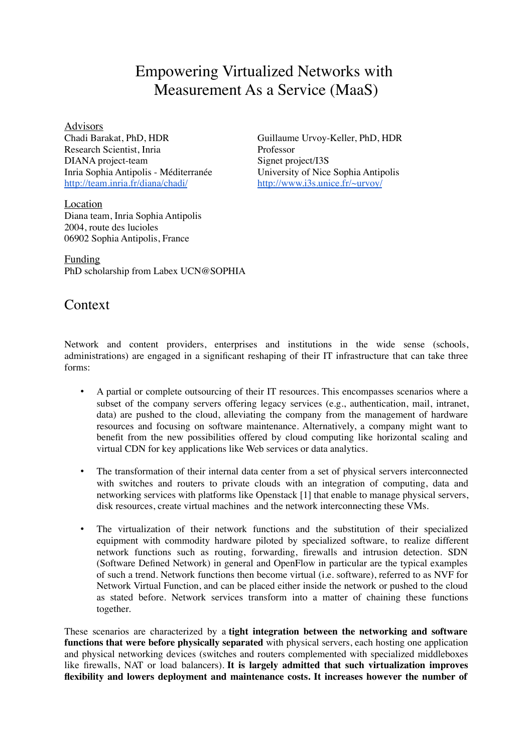# Empowering Virtualized Networks with Measurement As a Service (MaaS)

Advisors

Research Scientist, Inria Professor DIANA project-team Signet project/I3S<br>
Inria Sophia Antipolis - Méditerranée University of Nice Sophia Antipolis Inria Sophia Antipolis - Méditerranée <http://team.inria.fr/diana/chadi/> <http://www.i3s.unice.fr/~urvoy/>

Location Diana team, Inria Sophia Antipolis 2004, route des lucioles 06902 Sophia Antipolis, France

Chadi Barakat, PhD, HDR Guillaume Urvoy-Keller, PhD, HDR

Funding PhD scholarship from Labex UCN@SOPHIA

### Context

Network and content providers, enterprises and institutions in the wide sense (schools, administrations) are engaged in a significant reshaping of their IT infrastructure that can take three forms:

- A partial or complete outsourcing of their IT resources. This encompasses scenarios where a subset of the company servers offering legacy services (e.g., authentication, mail, intranet, data) are pushed to the cloud, alleviating the company from the management of hardware resources and focusing on software maintenance. Alternatively, a company might want to benefit from the new possibilities offered by cloud computing like horizontal scaling and virtual CDN for key applications like Web services or data analytics.
- The transformation of their internal data center from a set of physical servers interconnected with switches and routers to private clouds with an integration of computing, data and networking services with platforms like Openstack [1] that enable to manage physical servers, disk resources, create virtual machines and the network interconnecting these VMs.
- The virtualization of their network functions and the substitution of their specialized equipment with commodity hardware piloted by specialized software, to realize different network functions such as routing, forwarding, firewalls and intrusion detection. SDN (Software Defined Network) in general and OpenFlow in particular are the typical examples of such a trend. Network functions then become virtual (i.e. software), referred to as NVF for Network Virtual Function, and can be placed either inside the network or pushed to the cloud as stated before. Network services transform into a matter of chaining these functions together.

These scenarios are characterized by a **tight integration between the networking and software functions that were before physically separated** with physical servers, each hosting one application and physical networking devices (switches and routers complemented with specialized middleboxes like firewalls, NAT or load balancers). **It is largely admitted that such virtualization improves flexibility and lowers deployment and maintenance costs. It increases however the number of**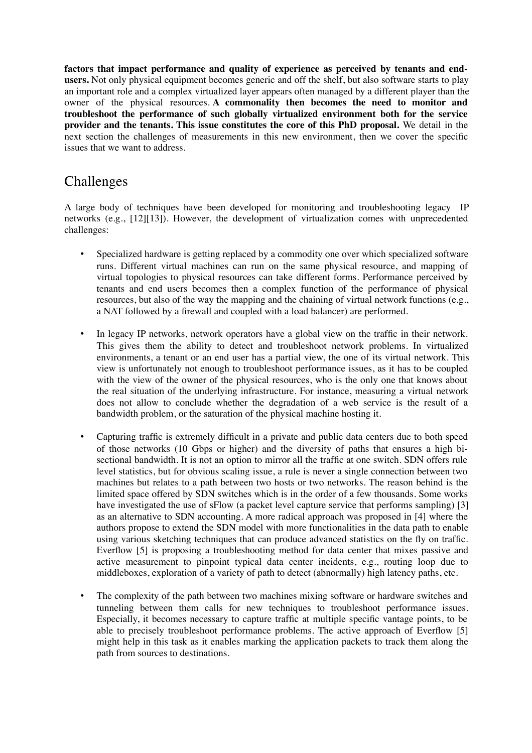**factors that impact performance and quality of experience as perceived by tenants and endusers.** Not only physical equipment becomes generic and off the shelf, but also software starts to play an important role and a complex virtualized layer appears often managed by a different player than the owner of the physical resources. **A commonality then becomes the need to monitor and troubleshoot the performance of such globally virtualized environment both for the service provider and the tenants. This issue constitutes the core of this PhD proposal.** We detail in the next section the challenges of measurements in this new environment, then we cover the specific issues that we want to address.

## Challenges

A large body of techniques have been developed for monitoring and troubleshooting legacy IP networks (e.g., [12][13]). However, the development of virtualization comes with unprecedented challenges:

- Specialized hardware is getting replaced by a commodity one over which specialized software runs. Different virtual machines can run on the same physical resource, and mapping of virtual topologies to physical resources can take different forms. Performance perceived by tenants and end users becomes then a complex function of the performance of physical resources, but also of the way the mapping and the chaining of virtual network functions (e.g., a NAT followed by a firewall and coupled with a load balancer) are performed.
- In legacy IP networks, network operators have a global view on the traffic in their network. This gives them the ability to detect and troubleshoot network problems. In virtualized environments, a tenant or an end user has a partial view, the one of its virtual network. This view is unfortunately not enough to troubleshoot performance issues, as it has to be coupled with the view of the owner of the physical resources, who is the only one that knows about the real situation of the underlying infrastructure. For instance, measuring a virtual network does not allow to conclude whether the degradation of a web service is the result of a bandwidth problem, or the saturation of the physical machine hosting it.
- Capturing traffic is extremely difficult in a private and public data centers due to both speed of those networks (10 Gbps or higher) and the diversity of paths that ensures a high bisectional bandwidth. It is not an option to mirror all the traffic at one switch. SDN offers rule level statistics, but for obvious scaling issue, a rule is never a single connection between two machines but relates to a path between two hosts or two networks. The reason behind is the limited space offered by SDN switches which is in the order of a few thousands. Some works have investigated the use of sFlow (a packet level capture service that performs sampling) [3] as an alternative to SDN accounting. A more radical approach was proposed in [4] where the authors propose to extend the SDN model with more functionalities in the data path to enable using various sketching techniques that can produce advanced statistics on the fly on traffic. Everflow [5] is proposing a troubleshooting method for data center that mixes passive and active measurement to pinpoint typical data center incidents, e.g., routing loop due to middleboxes, exploration of a variety of path to detect (abnormally) high latency paths, etc.
- The complexity of the path between two machines mixing software or hardware switches and tunneling between them calls for new techniques to troubleshoot performance issues. Especially, it becomes necessary to capture traffic at multiple specific vantage points, to be able to precisely troubleshoot performance problems. The active approach of Everflow [5] might help in this task as it enables marking the application packets to track them along the path from sources to destinations.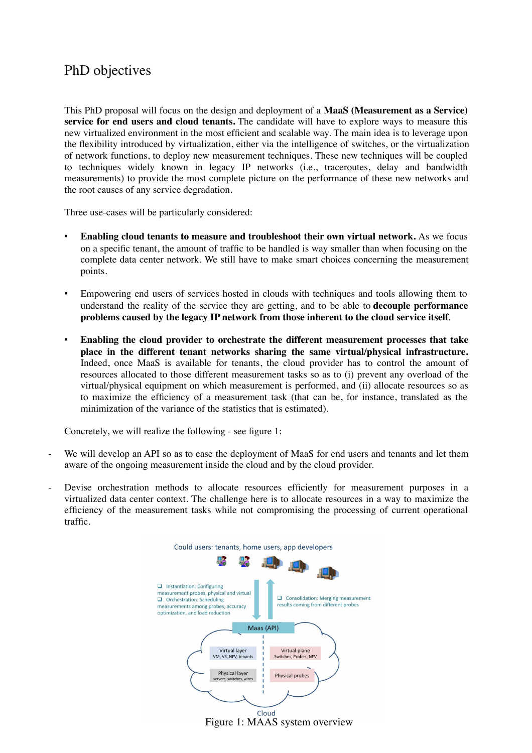## PhD objectives

This PhD proposal will focus on the design and deployment of a **MaaS (Measurement as a Service) service for end users and cloud tenants.** The candidate will have to explore ways to measure this new virtualized environment in the most efficient and scalable way. The main idea is to leverage upon the flexibility introduced by virtualization, either via the intelligence of switches, or the virtualization of network functions, to deploy new measurement techniques. These new techniques will be coupled to techniques widely known in legacy IP networks (i.e., traceroutes, delay and bandwidth measurements) to provide the most complete picture on the performance of these new networks and the root causes of any service degradation.

Three use-cases will be particularly considered:

- **Enabling cloud tenants to measure and troubleshoot their own virtual network.** As we focus on a specific tenant, the amount of traffic to be handled is way smaller than when focusing on the complete data center network. We still have to make smart choices concerning the measurement points.
- Empowering end users of services hosted in clouds with techniques and tools allowing them to understand the reality of the service they are getting, and to be able to **decouple performance problems caused by the legacy IP network from those inherent to the cloud service itself**.
- **Enabling the cloud provider to orchestrate the different measurement processes that take place in the different tenant networks sharing the same virtual/physical infrastructure.** Indeed, once MaaS is available for tenants, the cloud provider has to control the amount of resources allocated to those different measurement tasks so as to (i) prevent any overload of the virtual/physical equipment on which measurement is performed, and (ii) allocate resources so as to maximize the efficiency of a measurement task (that can be, for instance, translated as the minimization of the variance of the statistics that is estimated).

Concretely, we will realize the following - see figure 1:

- We will develop an API so as to ease the deployment of MaaS for end users and tenants and let them aware of the ongoing measurement inside the cloud and by the cloud provider.
- Devise orchestration methods to allocate resources efficiently for measurement purposes in a virtualized data center context. The challenge here is to allocate resources in a way to maximize the efficiency of the measurement tasks while not compromising the processing of current operational traffic.